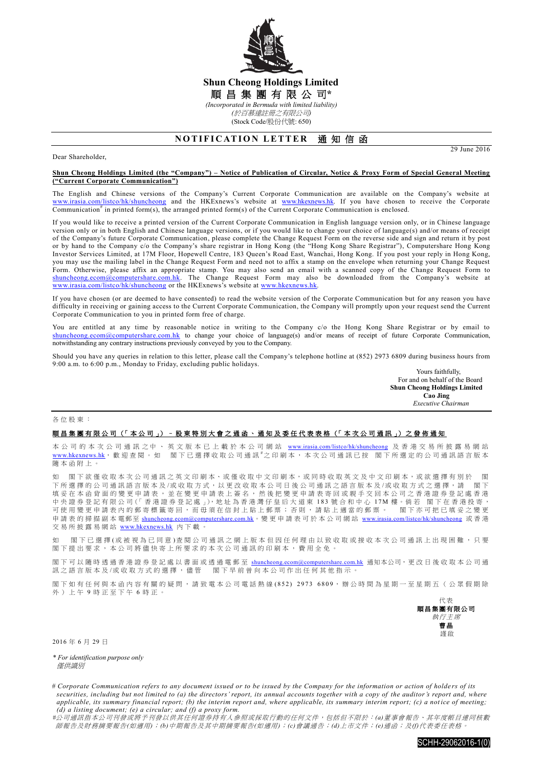

## **Shun Cheong Holdings Limited** 順 昌 集 團 有 限 公 司**\*** *(Incorporated in Bermuda with limited liability) (*於百慕達註冊之有限公司*)*

(Stock Code/股份代號: 650)

# **NOTIFICATION LETTER 通知信函**

Dear Shareholder,

29 June 2016

#### **Shun Cheong Holdings Limited (the "Company") – Notice of Publication of Circular, Notice & Proxy Form of Special General Meeting ("Current Corporate Communication")**

The English and Chinese versions of the Company's Current Corporate Communication are available on the Company's website at [www.irasia.com/listco/hk/shuncheong](http://www.irasia.com/listco/hk/shuncheong) and the HKExnews's website at [www.hkexnews.hk.](http://www.hkexnews.hk/) If you have chosen to receive the Corporate Communication<sup>#</sup> in printed form(s), the arranged printed form(s) of the Current Corporate Communication is enclosed.

If you would like to receive a printed version of the Current Corporate Communication in English language version only, or in Chinese language version only or in both English and Chinese language versions, or if you would like to change your choice of language(s) and/or means of receipt of the Company's future Corporate Communication, please complete the Change Request Form on the reverse side and sign and return it by post or by hand to the Company c/o the Company's share registrar in Hong Kong (the "Hong Kong Share Registrar"), Computershare Hong Kong Investor Services Limited, at 17M Floor, Hopewell Centre, 183 Queen's Road East, Wanchai, Hong Kong. If you post your reply in Hong Kong, you may use the mailing label in the Change Request Form and need not to affix a stamp on the envelope when returning your Change Request Form. Otherwise, please affix an appropriate stamp. You may also send an email with a scanned copy of the Change Request Form to [shuncheong.ecom@computershare.com.hk.](mailto:shuncheong.ecom@computershare.com.hk) The Change Request Form may also be downloaded from the Company's website at [www.irasia.com/listco/hk/shuncheong](http://www.irasia.com/listco/hk/shuncheong) or the HKExnews's website at [www.hkexnews.hk.](http://www.hkexnews.hk/)

If you have chosen (or are deemed to have consented) to read the website version of the Corporate Communication but for any reason you have difficulty in receiving or gaining access to the Current Corporate Communication, the Company will promptly upon your request send the Current Corporate Communication to you in printed form free of charge.

You are entitled at any time by reasonable notice in writing to the Company c/o the Hong Kong Share Registrar or by email to [shuncheong.ecom@computershare.com.hk](mailto:shuncheong.ecom@computershare.com.hk) to change your choice of language(s) and/or means of receipt of future Corporate Communication, notwithstanding any contrary instructions previously conveyed by you to the Company.

Should you have any queries in relation to this letter, please call the Company's telephone hotline at (852) 2973 6809 during business hours from 9:00 a.m. to 6:00 p.m., Monday to Friday, excluding public holidays.

Yours faithfully, For and on behalf of the Board **Shun Cheong Holdings Limited Cao Jing**  *Executive Chairman*

#### 各位股東 :

### 順昌集團有限公司 (「本公司」) – 股東特別大會之通函、通知及委任代表表格 (「本次公司通訊」) 之發佈通知

本 公 司 的 本 次 公 司 通 訊 之 中 、 英 文 版 本 已 上 載 於 本 公 司 網 站 [www.irasia.com/listco/hk/shuncheong](http://www.irasia.com/listco/hk/shuncheong) 及 香 港 交 易 所 披 露 易 網 站 [www.hkexnews.hk](http://www.hkexnews.hk/), 歡 迎 查 閱 。 閣 下 已 選擇收取公司 通訊 #之 印 刷 本 , 本 次 公 司 通訊 已 按 閣 下 所 選 定 的 公 司 通訊 語言 版 本 隨本函附上 。

如 閣下欲僅收取本次公司通訊之英文印刷本、或僅收取中文印刷本,或同時收取英文及中文印刷本,或欲選擇有別於 閣 下所選擇的公司通訊語言版本 及 /或 收 取 方 式 , 以 更 改 收 取 本公司日後 公司通訊之語言版本及 /或收取方式 之選擇 , 請 閣 下 填妥在本函背面的變更申請表,並在變更申請表上簽名,然後把變更申請表寄回或親手交回本公司之香港證券登記處香港 中央證券登記有限公司(「香港證券登記處」),地址為香港灣仔皇后大道東 183 號合和中心 17M 樓。倘若 閣下在香港投寄, 可使用變更申請表內的郵寄標籤寄回,而毋須在信封上貼上郵票;否則,請貼上適當的郵票。 閣下亦可把已填妥之變更 申請表 的掃描副本 電郵至 [shuncheong.ecom@computershare.com.hk](mailto:shuncheong.ecom@computershare.com.hk)。變 更 申請表可於 本公司 網 站 [www.irasia.com/listco/hk/shuncheong](http://www.irasia.com/listco/hk/shuncheong) 或 香 港 交易所披露易網站 [www.hkexnews.hk](http://www.hkexnews.hk/) 內 下載。

如 閣下已 選 擇 ( 或 被 視 為 已 同 意 ) 查 閱 公 司 通 訊 之 網 上 版 本 但 因 任 何 理 由 以 致 收 取 或 接 收 本 次 公 司 通 訊 上 出 現 困 難 , 只 要 閣 下 提出要求, 本公司將儘 快寄上所要求的 本次公司通訊 的印刷本,費用全免。

閣下可以隨時透過香港證券登記處以書面或透過電郵至 [shuncheong.ecom@computershare.com.hk](mailto:shuncheong.ecom@computershare.com.hk) 通知本公司,更改日後收取本公司通 訊之語言版本及/或收取方式的選擇,儘管 閣下早前曾向本公司作出任何其他指示。

閣下如有任何與本函內容有關的疑問,請致電本公司電話熱線(852) 2973 6809,辦公時間為星期一至星期五(公眾假期除 外)上午 9 時正至下午 6 時正。



2016 年 6 月 29 日

*\* For identification purpose only* 催供諦則

*#*公司通訊指本公司刊發或將予刊發以供其任何證券持有人參照或採取行動的任何文件,包括但不限於:*(a)*董事會報告、其年度帳目連同核數 師報告及財務摘要報告*(*如適用*)*;*(b)*中期報告及其中期摘要報告*(*如適用*)*;*(c)*會議通告;*(d)*上市文件;*(e)*通函;及*(f)*代表委任表格。



*<sup>#</sup> Corporate Communication refers to any document issued or to be issued by the Company for the information or action of holde rs of its securities, including but not limited to (a) the directors' report, its annual accounts together with a copy of the auditor's report and, where applicable, its summary financial report; (b) the interim report and, where applicable, its summary interim report; (c) a notice of meeting; (d) a listing document; (e) a circular; and (f) a proxy form.*